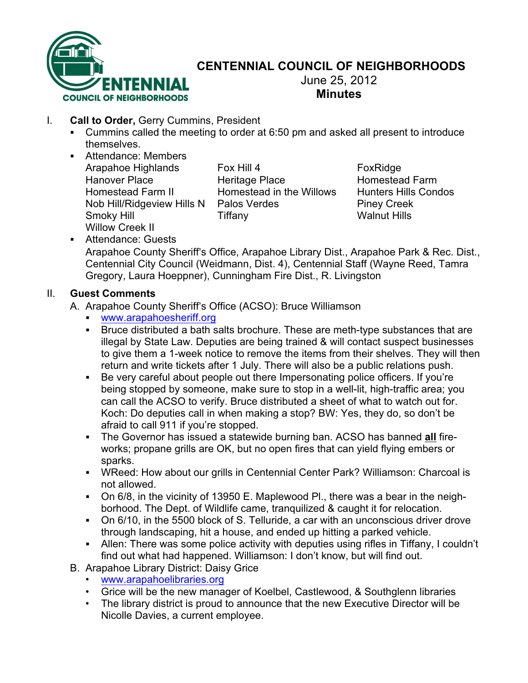

## **CENTENNIAL COUNCIL OF NEIGHBORHOODS**

June 25, 2012 **Minutes**

- I. **Call to Order,** Gerry Cummins, President
	- ! Cummins called the meeting to order at 6:50 pm and asked all present to introduce themselves.
	- ! Attendance: Members Arapahoe Highlands Fox Hill 4 FoxRidge Hanover Place **Heritage Place** Homestead Farm Homestead Farm II Homestead in the Willows Hunters Hills Condos Nob Hill/Ridgeview Hills N Palos Verdes Piney Creek Smoky Hill Tiffany Walnut Hills Willow Creek II

! Attendance: Guests Arapahoe County Sheriff's Office, Arapahoe Library Dist., Arapahoe Park & Rec. Dist., Centennial City Council (Weidmann, Dist. 4), Centennial Staff (Wayne Reed, Tamra Gregory, Laura Hoeppner), Cunningham Fire Dist., R. Livingston

## II. **Guest Comments**

A. Arapahoe County Sheriff's Office (ACSO): Bruce Williamson

- ! www.arapahoesheriff.org
- ! Bruce distributed a bath salts brochure. These are meth-type substances that are illegal by State Law. Deputies are being trained & will contact suspect businesses to give them a 1-week notice to remove the items from their shelves. They will then return and write tickets after 1 July. There will also be a public relations push.
- ! Be very careful about people out there Impersonating police officers. If you're being stopped by someone, make sure to stop in a well-lit, high-traffic area; you can call the ACSO to verify. Bruce distributed a sheet of what to watch out for. Koch: Do deputies call in when making a stop? BW: Yes, they do, so don't be afraid to call 911 if you're stopped.
- ! The Governor has issued a statewide burning ban. ACSO has banned **all** fireworks; propane grills are OK, but no open fires that can yield flying embers or sparks.
- ! WReed: How about our grills in Centennial Center Park? Williamson: Charcoal is not allowed.
- ! On 6/8, in the vicinity of 13950 E. Maplewood Pl., there was a bear in the neighborhood. The Dept. of Wildlife came, tranquilized & caught it for relocation.
- ! On 6/10, in the 5500 block of S. Telluride, a car with an unconscious driver drove through landscaping, hit a house, and ended up hitting a parked vehicle.
- ! Allen: There was some police activity with deputies using rifles in Tiffany, I couldn't find out what had happened. Williamson: I don't know, but will find out.
- B. Arapahoe Library District: Daisy Grice
	- www.arapahoelibraries.org
	- Grice will be the new manager of Koelbel, Castlewood, & Southglenn libraries
	- The library district is proud to announce that the new Executive Director will be Nicolle Davies, a current employee.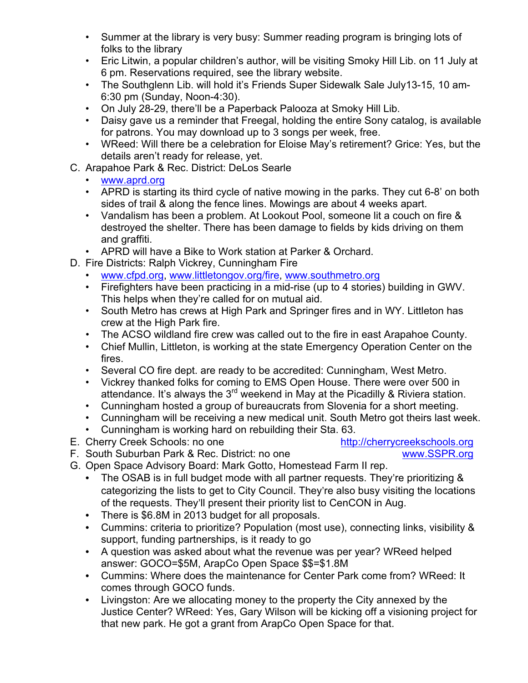- Summer at the library is very busy: Summer reading program is bringing lots of folks to the library
- Eric Litwin, a popular children's author, will be visiting Smoky Hill Lib. on 11 July at 6 pm. Reservations required, see the library website.
- The Southglenn Lib. will hold it's Friends Super Sidewalk Sale July13-15, 10 am-6:30 pm (Sunday, Noon-4:30).
- On July 28-29, there'll be a Paperback Palooza at Smoky Hill Lib.
- Daisy gave us a reminder that Freegal, holding the entire Sony catalog, is available for patrons. You may download up to 3 songs per week, free.
- WReed: Will there be a celebration for Eloise May's retirement? Grice: Yes, but the details aren't ready for release, yet.
- C. Arapahoe Park & Rec. District: DeLos Searle
	- www.aprd.org
	- APRD is starting its third cycle of native mowing in the parks. They cut 6-8' on both sides of trail & along the fence lines. Mowings are about 4 weeks apart.
	- Vandalism has been a problem. At Lookout Pool, someone lit a couch on fire & destroyed the shelter. There has been damage to fields by kids driving on them and graffiti.
	- APRD will have a Bike to Work station at Parker & Orchard.
- D. Fire Districts: Ralph Vickrey, Cunningham Fire
	- www.cfpd.org, www.littletongov.org/fire, www.southmetro.org
	- Firefighters have been practicing in a mid-rise (up to 4 stories) building in GWV. This helps when they're called for on mutual aid.
	- South Metro has crews at High Park and Springer fires and in WY. Littleton has crew at the High Park fire.
	- The ACSO wildland fire crew was called out to the fire in east Arapahoe County.
	- Chief Mullin, Littleton, is working at the state Emergency Operation Center on the fires.
	- Several CO fire dept. are ready to be accredited: Cunningham, West Metro.
	- Vickrey thanked folks for coming to EMS Open House. There were over 500 in attendance. It's always the 3<sup>rd</sup> weekend in May at the Picadilly & Riviera station.
	- Cunningham hosted a group of bureaucrats from Slovenia for a short meeting.
	- Cunningham will be receiving a new medical unit. South Metro got theirs last week.
	- Cunningham is working hard on rebuilding their Sta. 63.
- E. Cherry Creek Schools: no one http://cherrycreekschools.org
- F. South Suburban Park & Rec. District: no one www.SSPR.org
- G. Open Space Advisory Board: Mark Gotto, Homestead Farm II rep.
	- The OSAB is in full budget mode with all partner requests. They're prioritizing & categorizing the lists to get to City Council. They're also busy visiting the locations of the requests. They'll present their priority list to CenCON in Aug.
	- There is \$6.8M in 2013 budget for all proposals.
	- Cummins: criteria to prioritize? Population (most use), connecting links, visibility & support, funding partnerships, is it ready to go
	- A question was asked about what the revenue was per year? WReed helped answer: GOCO=\$5M, ArapCo Open Space \$\$=\$1.8M
	- Cummins: Where does the maintenance for Center Park come from? WReed: It comes through GOCO funds.
	- Livingston: Are we allocating money to the property the City annexed by the Justice Center? WReed: Yes, Gary Wilson will be kicking off a visioning project for that new park. He got a grant from ArapCo Open Space for that.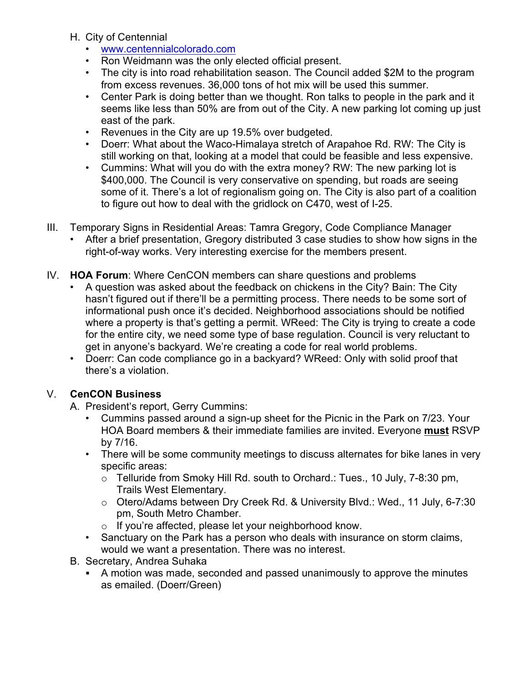- H. City of Centennial
	- www.centennialcolorado.com
	- Ron Weidmann was the only elected official present.
	- The city is into road rehabilitation season. The Council added \$2M to the program from excess revenues. 36,000 tons of hot mix will be used this summer.
	- Center Park is doing better than we thought. Ron talks to people in the park and it seems like less than 50% are from out of the City. A new parking lot coming up just east of the park.
	- Revenues in the City are up 19.5% over budgeted.
	- Doerr: What about the Waco-Himalaya stretch of Arapahoe Rd. RW: The City is still working on that, looking at a model that could be feasible and less expensive.
	- Cummins: What will you do with the extra money? RW: The new parking lot is \$400,000. The Council is very conservative on spending, but roads are seeing some of it. There's a lot of regionalism going on. The City is also part of a coalition to figure out how to deal with the gridlock on C470, west of I-25.
- III. Temporary Signs in Residential Areas: Tamra Gregory, Code Compliance Manager
	- After a brief presentation, Gregory distributed 3 case studies to show how signs in the right-of-way works. Very interesting exercise for the members present.
- IV. **HOA Forum**: Where CenCON members can share questions and problems
	- A question was asked about the feedback on chickens in the City? Bain: The City hasn't figured out if there'll be a permitting process. There needs to be some sort of informational push once it's decided. Neighborhood associations should be notified where a property is that's getting a permit. WReed: The City is trying to create a code for the entire city, we need some type of base regulation. Council is very reluctant to get in anyone's backyard. We're creating a code for real world problems.
	- Doerr: Can code compliance go in a backyard? WReed: Only with solid proof that there's a violation.

## V. **CenCON Business**

- A. President's report, Gerry Cummins:
	- Cummins passed around a sign-up sheet for the Picnic in the Park on 7/23. Your HOA Board members & their immediate families are invited. Everyone **must** RSVP by 7/16.
	- There will be some community meetings to discuss alternates for bike lanes in very specific areas:
		- o Telluride from Smoky Hill Rd. south to Orchard.: Tues., 10 July, 7-8:30 pm, Trails West Elementary.
		- o Otero/Adams between Dry Creek Rd. & University Blvd.: Wed., 11 July, 6-7:30 pm, South Metro Chamber.
		- o If you're affected, please let your neighborhood know.
	- Sanctuary on the Park has a person who deals with insurance on storm claims, would we want a presentation. There was no interest.
- B. Secretary, Andrea Suhaka
	- ! A motion was made, seconded and passed unanimously to approve the minutes as emailed. (Doerr/Green)